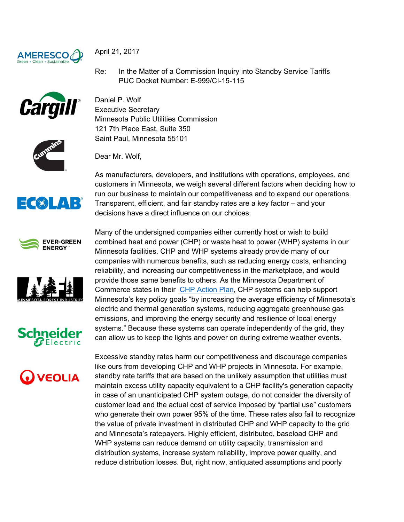

April 21, 2017



Daniel P. Wolf Executive Secretary Minnesota Public Utilities Commission 121 7th Place East, Suite 350 Saint Paul, Minnesota 55101

PUC Docket Number: E-999/CI-15-115

Dear Mr. Wolf,



As manufacturers, developers, and institutions with operations, employees, and customers in Minnesota, we weigh several different factors when deciding how to run our business to maintain our competitiveness and to expand our operations. Transparent, efficient, and fair standby rates are a key factor – and your decisions have a direct influence on our choices.

Re: In the Matter of a Commission Inquiry into Standby Service Tariffs









Many of the undersigned companies either currently host or wish to build combined heat and power (CHP) or waste heat to power (WHP) systems in our Minnesota facilities. CHP and WHP systems already provide many of our companies with numerous benefits, such as reducing energy costs, enhancing reliability, and increasing our competitiveness in the marketplace, and would provide those same benefits to others. As the Minnesota Department of Commerce states in their [CHP Action Plan](http://mn.gov/commerce-stat/pdfs/CHP%2520pdfs/final-unabridged-chp-action-plan-2015.pdf), CHP systems can help support Minnesota's key policy goals "by increasing the average efficiency of Minnesota's electric and thermal generation systems, reducing aggregate greenhouse gas emissions, and improving the energy security and resilience of local energy systems." Because these systems can operate independently of the grid, they can allow us to keep the lights and power on during extreme weather events.

Excessive standby rates harm our competitiveness and discourage companies like ours from developing CHP and WHP projects in Minnesota. For example, standby rate tariffs that are based on the unlikely assumption that utilities must maintain excess utility capacity equivalent to a CHP facility's generation capacity in case of an unanticipated CHP system outage, do not consider the diversity of customer load and the actual cost of service imposed by "partial use" customers who generate their own power 95% of the time. These rates also fail to recognize the value of private investment in distributed CHP and WHP capacity to the grid and Minnesota's ratepayers. Highly efficient, distributed, baseload CHP and WHP systems can reduce demand on utility capacity, transmission and distribution systems, increase system reliability, improve power quality, and reduce distribution losses. But, right now, antiquated assumptions and poorly